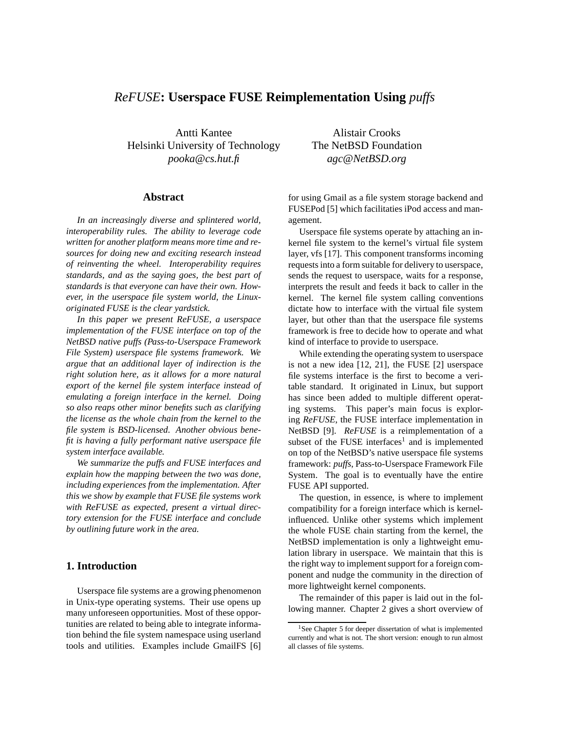# *ReFUSE***: Userspace FUSE Reimplementation Using** *puffs*

Antti Kantee Helsinki University of Technology *pooka@cs.hut.fi*

### **Abstract**

*In an increasingly diverse and splintered world, interoperability rules. The ability to leverage code written for another platform means more time and resources for doing new and exciting research instead of reinventing the wheel. Interoperability requires standards, and as the saying goes, the best part of standards is that everyone can have their own. However, in the userspace file system world, the Linuxoriginated FUSE is the clear yardstick.*

*In this paper we present ReFUSE, a userspace implementation of the FUSE interface on top of the NetBSD native puffs (Pass-to-Userspace Framework File System) userspace file systems framework. We argue that an additional layer of indirection is the right solution here, as it allows for a more natural export of the kernel file system interface instead of emulating a foreign interface in the kernel. Doing so also reaps other minor benefits such as clarifying the license as the whole chain from the kernel to the file system is BSD-licensed. Another obvious benefit is having a fully performant native userspace file system interface available.*

*We summarize the puffs and FUSE interfaces and explain how the mapping between the two was done, including experiences from the implementation. After this we show by example that FUSE file systems work with ReFUSE as expected, present a virtual directory extension for the FUSE interface and conclude by outlining future work in the area.*

# **1. Introduction**

Userspace file systems are a growing phenomenon in Unix-type operating systems. Their use opens up many unforeseen opportunities. Most of these opportunities are related to being able to integrate information behind the file system namespace using userland tools and utilities. Examples include GmailFS [6]

Alistair Crooks The NetBSD Foundation *agc@NetBSD.org*

for using Gmail as a file system storage backend and FUSEPod [5] which facilitaties iPod access and management.

Userspace file systems operate by attaching an inkernel file system to the kernel's virtual file system layer, vfs [17]. This component transforms incoming requests into a form suitable for delivery to userspace, sends the request to userspace, waits for a response, interprets the result and feeds it back to caller in the kernel. The kernel file system calling conventions dictate how to interface with the virtual file system layer, but other than that the userspace file systems framework is free to decide how to operate and what kind of interface to provide to userspace.

While extending the operating system to userspace is not a new idea [12, 21], the FUSE [2] userspace file systems interface is the first to become a veritable standard. It originated in Linux, but support has since been added to multiple different operating systems. This paper's main focus is exploring *ReFUSE*, the FUSE interface implementation in NetBSD [9]. *ReFUSE* is a reimplementation of a subset of the FUSE interfaces<sup>1</sup> and is implemented on top of the NetBSD's native userspace file systems framework: *puffs*, Pass-to-Userspace Framework File System. The goal is to eventually have the entire FUSE API supported.

The question, in essence, is where to implement compatibility for a foreign interface which is kernelinfluenced. Unlike other systems which implement the whole FUSE chain starting from the kernel, the NetBSD implementation is only a lightweight emulation library in userspace. We maintain that this is the right way to implement support for a foreign component and nudge the community in the direction of more lightweight kernel components.

The remainder of this paper is laid out in the following manner. Chapter 2 gives a short overview of

<sup>&</sup>lt;sup>1</sup>See Chapter 5 for deeper dissertation of what is implemented currently and what is not. The short version: enough to run almost all classes of file systems.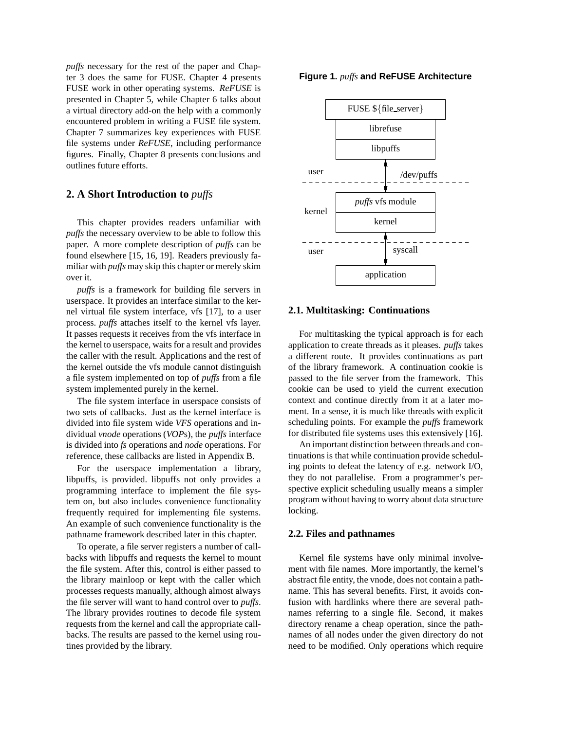*puffs* necessary for the rest of the paper and Chapter 3 does the same for FUSE. Chapter 4 presents FUSE work in other operating systems. *ReFUSE* is presented in Chapter 5, while Chapter 6 talks about a virtual directory add-on the help with a commonly encountered problem in writing a FUSE file system. Chapter 7 summarizes key experiences with FUSE file systems under *ReFUSE*, including performance figures. Finally, Chapter 8 presents conclusions and outlines future efforts.

# **2. A Short Introduction to** *puffs*

This chapter provides readers unfamiliar with *puffs* the necessary overview to be able to follow this paper. A more complete description of *puffs* can be found elsewhere [15, 16, 19]. Readers previously familiar with *puffs* may skip this chapter or merely skim over it.

*puffs* is a framework for building file servers in userspace. It provides an interface similar to the kernel virtual file system interface, vfs [17], to a user process. *puffs* attaches itself to the kernel vfs layer. It passes requests it receives from the vfs interface in the kernel to userspace, waits for a result and provides the caller with the result. Applications and the rest of the kernel outside the vfs module cannot distinguish a file system implemented on top of *puffs* from a file system implemented purely in the kernel.

The file system interface in userspace consists of two sets of callbacks. Just as the kernel interface is divided into file system wide *VFS* operations and individual *vnode* operations (*VOP*s), the *puffs* interface is divided into *fs* operations and *node* operations. For reference, these callbacks are listed in Appendix B.

For the userspace implementation a library, libpuffs, is provided. libpuffs not only provides a programming interface to implement the file system on, but also includes convenience functionality frequently required for implementing file systems. An example of such convenience functionality is the pathname framework described later in this chapter.

To operate, a file server registers a number of callbacks with libpuffs and requests the kernel to mount the file system. After this, control is either passed to the library mainloop or kept with the caller which processes requests manually, although almost always the file server will want to hand control over to *puffs*. The library provides routines to decode file system requests from the kernel and call the appropriate callbacks. The results are passed to the kernel using routines provided by the library.

#### **Figure 1.** *puffs* **and ReFUSE Architecture**



## **2.1. Multitasking: Continuations**

For multitasking the typical approach is for each application to create threads as it pleases. *puffs* takes a different route. It provides continuations as part of the library framework. A continuation cookie is passed to the file server from the framework. This cookie can be used to yield the current execution context and continue directly from it at a later moment. In a sense, it is much like threads with explicit scheduling points. For example the *puffs* framework for distributed file systems uses this extensively [16].

An important distinction between threads and continuations is that while continuation provide scheduling points to defeat the latency of e.g. network I/O, they do not parallelise. From a programmer's perspective explicit scheduling usually means a simpler program without having to worry about data structure locking.

#### **2.2. Files and pathnames**

Kernel file systems have only minimal involvement with file names. More importantly, the kernel's abstract file entity, the vnode, does not contain a pathname. This has several benefits. First, it avoids confusion with hardlinks where there are several pathnames referring to a single file. Second, it makes directory rename a cheap operation, since the pathnames of all nodes under the given directory do not need to be modified. Only operations which require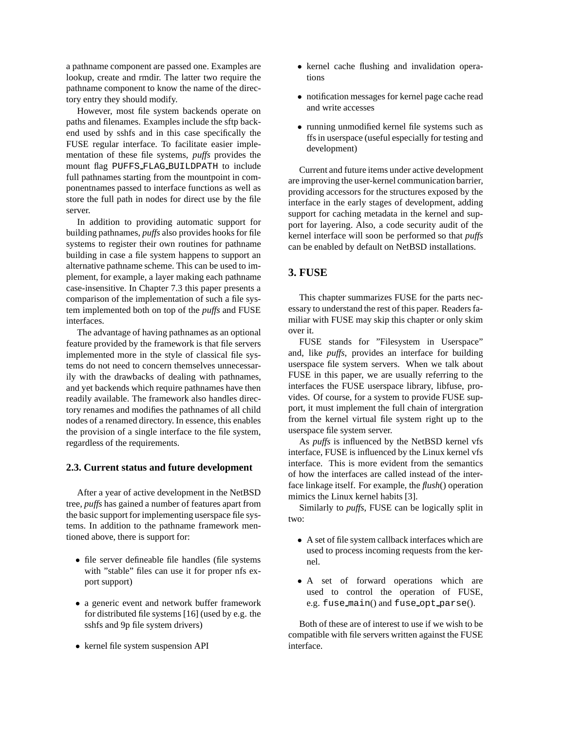a pathname component are passed one. Examples are lookup, create and rmdir. The latter two require the pathname component to know the name of the directory entry they should modify.

However, most file system backends operate on paths and filenames. Examples include the sftp backend used by sshfs and in this case specifically the FUSE regular interface. To facilitate easier implementation of these file systems, *puffs* provides the mount flag PUFFS FLAG BUILDPATH to include full pathnames starting from the mountpoint in componentnames passed to interface functions as well as store the full path in nodes for direct use by the file server.

In addition to providing automatic support for building pathnames, *puffs* also provides hooks for file systems to register their own routines for pathname building in case a file system happens to support an alternative pathname scheme. This can be used to implement, for example, a layer making each pathname case-insensitive. In Chapter 7.3 this paper presents a comparison of the implementation of such a file system implemented both on top of the *puffs* and FUSE interfaces.

The advantage of having pathnames as an optional feature provided by the framework is that file servers implemented more in the style of classical file systems do not need to concern themselves unnecessarily with the drawbacks of dealing with pathnames, and yet backends which require pathnames have then readily available. The framework also handles directory renames and modifies the pathnames of all child nodes of a renamed directory. In essence, this enables the provision of a single interface to the file system, regardless of the requirements.

#### **2.3. Current status and future development**

After a year of active development in the NetBSD tree, *puffs* has gained a number of features apart from the basic support for implementing userspace file systems. In addition to the pathname framework mentioned above, there is support for:

- file server defineable file handles (file systems with "stable" files can use it for proper nfs export support)
- a generic event and network buffer framework for distributed file systems [16] (used by e.g. the sshfs and 9p file system drivers)
- kernel file system suspension API
- kernel cache flushing and invalidation operations
- notification messages for kernel page cache read and write accesses
- running unmodified kernel file systems such as ffs in userspace (useful especially for testing and development)

Current and future items under active development are improving the user-kernel communication barrier, providing accessors for the structures exposed by the interface in the early stages of development, adding support for caching metadata in the kernel and support for layering. Also, a code security audit of the kernel interface will soon be performed so that *puffs* can be enabled by default on NetBSD installations.

# **3. FUSE**

This chapter summarizes FUSE for the parts necessary to understand the rest of this paper. Readers familiar with FUSE may skip this chapter or only skim over it.

FUSE stands for "Filesystem in Userspace" and, like *puffs*, provides an interface for building userspace file system servers. When we talk about FUSE in this paper, we are usually referring to the interfaces the FUSE userspace library, libfuse, provides. Of course, for a system to provide FUSE support, it must implement the full chain of intergration from the kernel virtual file system right up to the userspace file system server.

As *puffs* is influenced by the NetBSD kernel vfs interface, FUSE is influenced by the Linux kernel vfs interface. This is more evident from the semantics of how the interfaces are called instead of the interface linkage itself. For example, the *flush*() operation mimics the Linux kernel habits [3].

Similarly to *puffs*, FUSE can be logically split in two:

- A set of file system callback interfaces which are used to process incoming requests from the kernel.
- A set of forward operations which are used to control the operation of FUSE, e.g. fuse main() and fuse opt parse().

Both of these are of interest to use if we wish to be compatible with file servers written against the FUSE interface.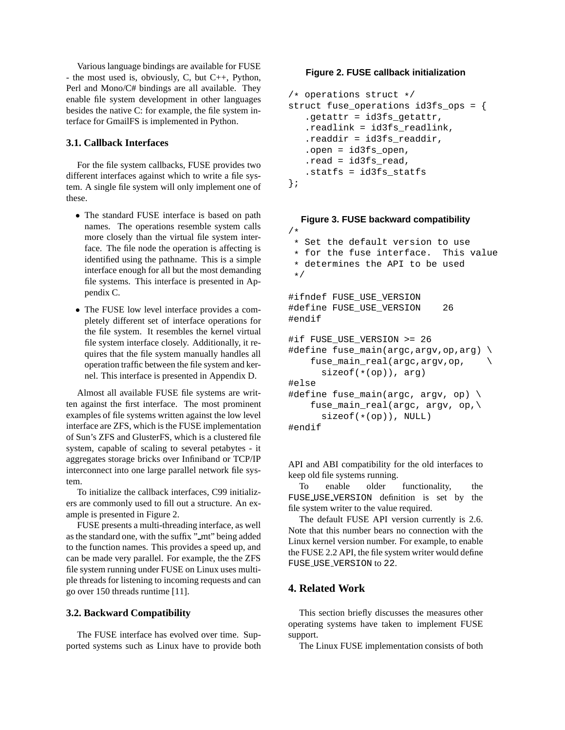Various language bindings are available for FUSE - the most used is, obviously, C, but C++, Python, Perl and Mono/C# bindings are all available. They enable file system development in other languages besides the native C: for example, the file system interface for GmailFS is implemented in Python.

## **3.1. Callback Interfaces**

For the file system callbacks, FUSE provides two different interfaces against which to write a file system. A single file system will only implement one of these.

- The standard FUSE interface is based on path names. The operations resemble system calls more closely than the virtual file system interface. The file node the operation is affecting is identified using the pathname. This is a simple interface enough for all but the most demanding file systems. This interface is presented in Appendix C.
- The FUSE low level interface provides a completely different set of interface operations for the file system. It resembles the kernel virtual file system interface closely. Additionally, it requires that the file system manually handles all operation traffic between the file system and kernel. This interface is presented in Appendix D.

Almost all available FUSE file systems are written against the first interface. The most prominent examples of file systems written against the low level interface are ZFS, which is the FUSE implementation of Sun's ZFS and GlusterFS, which is a clustered file system, capable of scaling to several petabytes - it aggregates storage bricks over Infiniband or TCP/IP interconnect into one large parallel network file system.

To initialize the callback interfaces, C99 initializers are commonly used to fill out a structure. An example is presented in Figure 2.

FUSE presents a multi-threading interface, as well as the standard one, with the suffix "\_mt" being added to the function names. This provides a speed up, and can be made very parallel. For example, the the ZFS file system running under FUSE on Linux uses multiple threads for listening to incoming requests and can go over 150 threads runtime [11].

### **3.2. Backward Compatibility**

The FUSE interface has evolved over time. Supported systems such as Linux have to provide both

#### **Figure 2. FUSE callback initialization**

```
/* operations struct */
struct fuse_operations id3fs_ops = {
   .getattr = id3fs_getattr,
   .readlink = id3fs_readlink,
   .readdir = id3fs_readdir,
   .open = id3fs_open,
   .read = id3fs_read,
   .statfs = id3fs_statfs
};
```
# **Figure 3. FUSE backward compatibility**

```
/*
 * Set the default version to use<br>* for the fuse interface. This value
 * for the fuse interface.
 * determines the API to be used
 */
#ifndef FUSE USE VERSION
#define FUSE_USE_VERSION 26
#endif
#if FUSE_USE_VERSION >= 26
#define fuse_main(argc,argv,op,arg) \
    fuse_main_real(argc,argv,op, \
      sizeof(*(op)), arg)
#else
#define fuse_main(argc, argv, op) \
    fuse_main_real(argc, argv, op,\
      sizeof(*(op)), NULL)
#endif
```
API and ABI compatibility for the old interfaces to keep old file systems running.

To enable older functionality, the FUSE USE VERSION definition is set by the file system writer to the value required.

The default FUSE API version currently is 2.6. Note that this number bears no connection with the Linux kernel version number. For example, to enable the FUSE 2.2 API, the file system writer would define FUSE USE VERSION to 22.

# **4. Related Work**

This section briefly discusses the measures other operating systems have taken to implement FUSE support.

The Linux FUSE implementation consists of both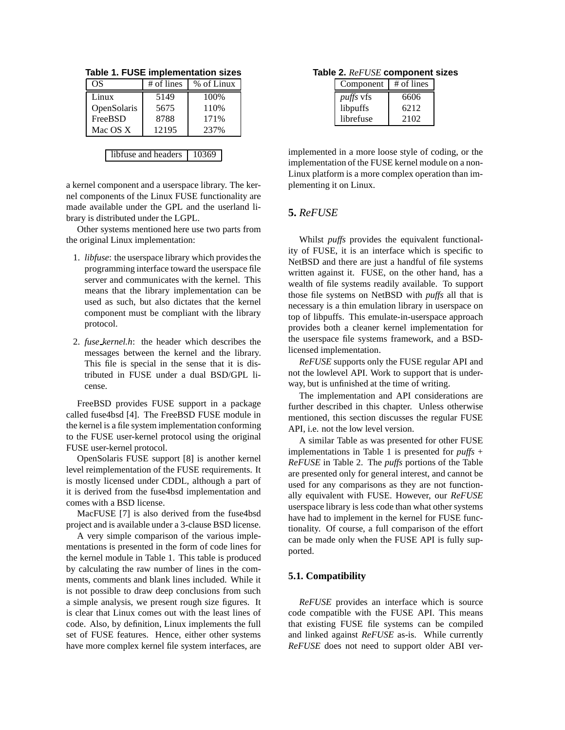| # of lines | % of Linux |
|------------|------------|
| 5149       | 100%       |
| 5675       | 110\%      |
| 8788       | 171%       |
| 12195      | 237%       |
|            |            |

libfuse and headers | 10369

**Table 1. FUSE implementation sizes**

a kernel component and a userspace library. The kernel components of the Linux FUSE functionality are made available under the GPL and the userland library is distributed under the LGPL.

Other systems mentioned here use two parts from the original Linux implementation:

- 1. *libfuse*: the userspace library which provides the programming interface toward the userspace file server and communicates with the kernel. This means that the library implementation can be used as such, but also dictates that the kernel component must be compliant with the library protocol.
- 2. *fuse kernel.h*: the header which describes the messages between the kernel and the library. This file is special in the sense that it is distributed in FUSE under a dual BSD/GPL license.

FreeBSD provides FUSE support in a package called fuse4bsd [4]. The FreeBSD FUSE module in the kernel is a file system implementation conforming to the FUSE user-kernel protocol using the original FUSE user-kernel protocol.

OpenSolaris FUSE support [8] is another kernel level reimplementation of the FUSE requirements. It is mostly licensed under CDDL, although a part of it is derived from the fuse4bsd implementation and comes with a BSD license.

MacFUSE [7] is also derived from the fuse4bsd project and is available under a 3-clause BSD license.

A very simple comparison of the various implementations is presented in the form of code lines for the kernel module in Table 1. This table is produced by calculating the raw number of lines in the comments, comments and blank lines included. While it is not possible to draw deep conclusions from such a simple analysis, we present rough size figures. It is clear that Linux comes out with the least lines of code. Also, by definition, Linux implements the full set of FUSE features. Hence, either other systems have more complex kernel file system interfaces, are

**Table 2.** *ReFUSE* **component sizes**

| Component        | # of lines |
|------------------|------------|
| <i>puffs</i> vfs | 6606       |
| libpuffs         | 6212       |
| librefuse        | 2102       |

implemented in a more loose style of coding, or the implementation of the FUSE kernel module on a non-Linux platform is a more complex operation than implementing it on Linux.

# **5.** *ReFUSE*

Whilst *puffs* provides the equivalent functionality of FUSE, it is an interface which is specific to NetBSD and there are just a handful of file systems written against it. FUSE, on the other hand, has a wealth of file systems readily available. To support those file systems on NetBSD with *puffs* all that is necessary is a thin emulation library in userspace on top of libpuffs. This emulate-in-userspace approach provides both a cleaner kernel implementation for the userspace file systems framework, and a BSDlicensed implementation.

*ReFUSE* supports only the FUSE regular API and not the lowlevel API. Work to support that is underway, but is unfinished at the time of writing.

The implementation and API considerations are further described in this chapter. Unless otherwise mentioned, this section discusses the regular FUSE API, i.e. not the low level version.

A similar Table as was presented for other FUSE implementations in Table 1 is presented for *puffs* + *ReFUSE* in Table 2. The *puffs* portions of the Table are presented only for general interest, and cannot be used for any comparisons as they are not functionally equivalent with FUSE. However, our *ReFUSE* userspace library is less code than what other systems have had to implement in the kernel for FUSE functionality. Of course, a full comparison of the effort can be made only when the FUSE API is fully supported.

### **5.1. Compatibility**

*ReFUSE* provides an interface which is source code compatible with the FUSE API. This means that existing FUSE file systems can be compiled and linked against *ReFUSE* as-is. While currently *ReFUSE* does not need to support older ABI ver-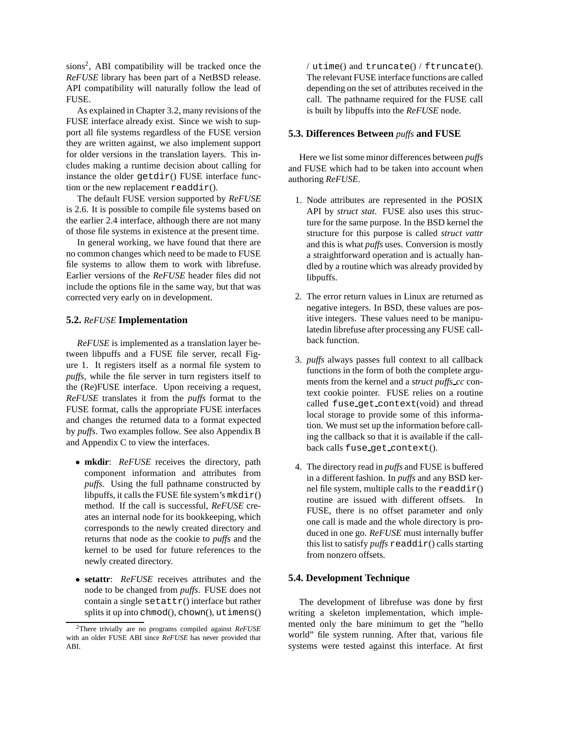sions<sup>2</sup> , ABI compatibility will be tracked once the *ReFUSE* library has been part of a NetBSD release. API compatibility will naturally follow the lead of FUSE.

As explained in Chapter 3.2, many revisions of the FUSE interface already exist. Since we wish to support all file systems regardless of the FUSE version they are written against, we also implement support for older versions in the translation layers. This includes making a runtime decision about calling for instance the older  $getdir()$  FUSE interface function or the new replacement  $\text{readdir}()$ .

The default FUSE version supported by *ReFUSE* is 2.6. It is possible to compile file systems based on the earlier 2.4 interface, although there are not many of those file systems in existence at the present time.

In general working, we have found that there are no common changes which need to be made to FUSE file systems to allow them to work with librefuse. Earlier versions of the *ReFUSE* header files did not include the options file in the same way, but that was corrected very early on in development.

## **5.2.** *ReFUSE* **Implementation**

*ReFUSE* is implemented as a translation layer between libpuffs and a FUSE file server, recall Figure 1. It registers itself as a normal file system to *puffs*, while the file server in turn registers itself to the (Re)FUSE interface. Upon receiving a request, *ReFUSE* translates it from the *puffs* format to the FUSE format, calls the appropriate FUSE interfaces and changes the returned data to a format expected by *puffs*. Two examples follow. See also Appendix B and Appendix C to view the interfaces.

- **mkdir**: *ReFUSE* receives the directory, path component information and attributes from *puffs*. Using the full pathname constructed by libpuffs, it calls the FUSE file system's  $mkdir()$ method. If the call is successful, *ReFUSE* creates an internal node for its bookkeeping, which corresponds to the newly created directory and returns that node as the cookie to *puffs* and the kernel to be used for future references to the newly created directory.
- **setattr**: *ReFUSE* receives attributes and the node to be changed from *puffs*. FUSE does not contain a single  $\text{setattr}()$  interface but rather splits it up into chmod(), chown(), utimens()

/ utime() and truncate() / ftruncate(). The relevant FUSE interface functions are called depending on the set of attributes received in the call. The pathname required for the FUSE call is built by libpuffs into the *ReFUSE* node.

### **5.3. Differences Between** *puffs* **and FUSE**

Here we list some minor differences between *puffs* and FUSE which had to be taken into account when authoring *ReFUSE*.

- 1. Node attributes are represented in the POSIX API by *struct stat*. FUSE also uses this structure for the same purpose. In the BSD kernel the structure for this purpose is called *struct vattr* and this is what *puffs* uses. Conversion is mostly a straightforward operation and is actually handled by a routine which was already provided by libpuffs.
- 2. The error return values in Linux are returned as negative integers. In BSD, these values are positive integers. These values need to be manipulatedin librefuse after processing any FUSE callback function.
- 3. *puffs* always passes full context to all callback functions in the form of both the complete arguments from the kernel and a *struct puffs cc* context cookie pointer. FUSE relies on a routine called fuse get context(void) and thread local storage to provide some of this information. We must set up the information before calling the callback so that it is available if the callback calls fuse\_get\_context().
- 4. The directory read in *puffs* and FUSE is buffered in a different fashion. In *puffs* and any BSD kernel file system, multiple calls to the readdir() routine are issued with different offsets. In FUSE, there is no offset parameter and only one call is made and the whole directory is produced in one go. *ReFUSE* must internally buffer this list to satisfy *puffs* readdir() calls starting from nonzero offsets.

### **5.4. Development Technique**

The development of librefuse was done by first writing a skeleton implementation, which implemented only the bare minimum to get the "hello world" file system running. After that, various file systems were tested against this interface. At first

<sup>2</sup>There trivially are no programs compiled against *ReFUSE* with an older FUSE ABI since *ReFUSE* has never provided that ABI.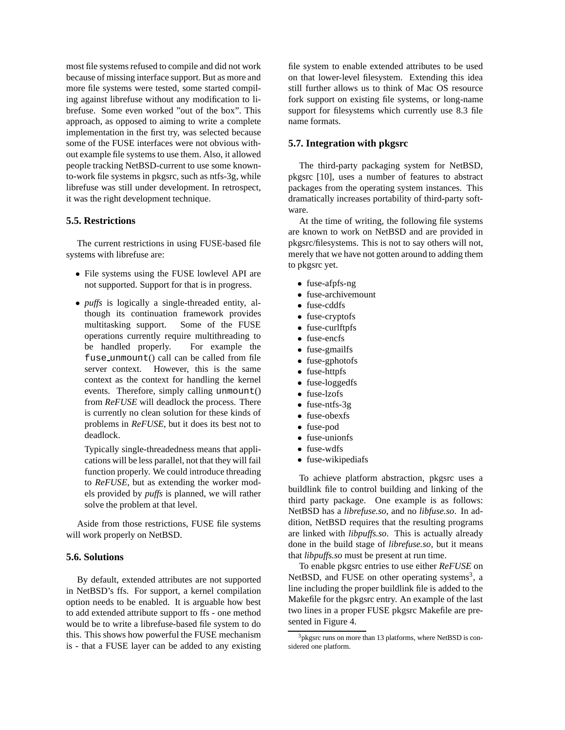most file systems refused to compile and did not work because of missing interface support. But as more and more file systems were tested, some started compiling against librefuse without any modification to librefuse. Some even worked "out of the box". This approach, as opposed to aiming to write a complete implementation in the first try, was selected because some of the FUSE interfaces were not obvious without example file systems to use them. Also, it allowed people tracking NetBSD-current to use some knownto-work file systems in pkgsrc, such as ntfs-3g, while librefuse was still under development. In retrospect, it was the right development technique.

### **5.5. Restrictions**

The current restrictions in using FUSE-based file systems with librefuse are:

- File systems using the FUSE lowlevel API are not supported. Support for that is in progress.
- *puffs* is logically a single-threaded entity, although its continuation framework provides multitasking support. Some of the FUSE operations currently require multithreading to be handled properly. For example the fuse unmount() call can be called from file server context. However, this is the same context as the context for handling the kernel events. Therefore, simply calling unmount() from *ReFUSE* will deadlock the process. There is currently no clean solution for these kinds of problems in *ReFUSE*, but it does its best not to deadlock.

Typically single-threadedness means that applications will be less parallel, not that they will fail function properly. We could introduce threading to *ReFUSE*, but as extending the worker models provided by *puffs* is planned, we will rather solve the problem at that level.

Aside from those restrictions, FUSE file systems will work properly on NetBSD.

### **5.6. Solutions**

By default, extended attributes are not supported in NetBSD's ffs. For support, a kernel compilation option needs to be enabled. It is arguable how best to add extended attribute support to ffs - one method would be to write a librefuse-based file system to do this. This shows how powerful the FUSE mechanism is - that a FUSE layer can be added to any existing file system to enable extended attributes to be used on that lower-level filesystem. Extending this idea still further allows us to think of Mac OS resource fork support on existing file systems, or long-name support for filesystems which currently use 8.3 file name formats.

#### **5.7. Integration with pkgsrc**

The third-party packaging system for NetBSD, pkgsrc [10], uses a number of features to abstract packages from the operating system instances. This dramatically increases portability of third-party software.

At the time of writing, the following file systems are known to work on NetBSD and are provided in pkgsrc/filesystems. This is not to say others will not, merely that we have not gotten around to adding them to pkgsrc yet.

- fuse-afpfs-ng
- fuse-archivemount
- fuse-cddfs
- fuse-cryptofs
- fuse-curlftpfs
- fuse-encfs
- fuse-gmailfs
- fuse-gphotofs
- fuse-httpfs
- fuse-loggedfs
- fuse-lzofs
- fuse-ntfs-3g
- fuse-obexfs
- fuse-pod
- fuse-unionfs
- fuse-wdfs
- fuse-wikipediafs

To achieve platform abstraction, pkgsrc uses a buildlink file to control building and linking of the third party package. One example is as follows: NetBSD has a *librefuse.so*, and no *libfuse.so*. In addition, NetBSD requires that the resulting programs are linked with *libpuffs.so*. This is actually already done in the build stage of *librefuse.so*, but it means that *libpuffs.so* must be present at run time.

To enable pkgsrc entries to use either *ReFUSE* on NetBSD, and FUSE on other operating systems<sup>3</sup>, a line including the proper buildlink file is added to the Makefile for the pkgsrc entry. An example of the last two lines in a proper FUSE pkgsrc Makefile are presented in Figure 4.

 $3$ <sup>3</sup> pkgsrc runs on more than 13 platforms, where NetBSD is considered one platform.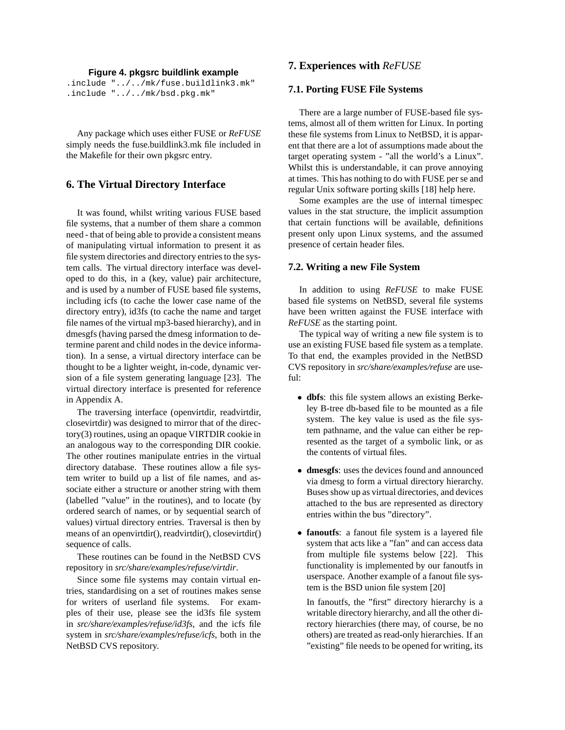#### **Figure 4. pkgsrc buildlink example**

.include "../../mk/fuse.buildlink3.mk" .include "../../mk/bsd.pkg.mk"

Any package which uses either FUSE or *ReFUSE* simply needs the fuse.buildlink3.mk file included in the Makefile for their own pkgsrc entry.

# **6. The Virtual Directory Interface**

It was found, whilst writing various FUSE based file systems, that a number of them share a common need - that of being able to provide a consistent means of manipulating virtual information to present it as file system directories and directory entries to the system calls. The virtual directory interface was developed to do this, in a (key, value) pair architecture, and is used by a number of FUSE based file systems, including icfs (to cache the lower case name of the directory entry), id3fs (to cache the name and target file names of the virtual mp3-based hierarchy), and in dmesgfs (having parsed the dmesg information to determine parent and child nodes in the device information). In a sense, a virtual directory interface can be thought to be a lighter weight, in-code, dynamic version of a file system generating language [23]. The virtual directory interface is presented for reference in Appendix A.

The traversing interface (openvirtdir, readvirtdir, closevirtdir) was designed to mirror that of the directory(3) routines, using an opaque VIRTDIR cookie in an analogous way to the corresponding DIR cookie. The other routines manipulate entries in the virtual directory database. These routines allow a file system writer to build up a list of file names, and associate either a structure or another string with them (labelled "value" in the routines), and to locate (by ordered search of names, or by sequential search of values) virtual directory entries. Traversal is then by means of an openvirtdir(), readvirtdir(), closevirtdir() sequence of calls.

These routines can be found in the NetBSD CVS repository in *src/share/examples/refuse/virtdir*.

Since some file systems may contain virtual entries, standardising on a set of routines makes sense for writers of userland file systems. For examples of their use, please see the id3fs file system in *src/share/examples/refuse/id3fs*, and the icfs file system in *src/share/examples/refuse/icfs*, both in the NetBSD CVS repository.

# **7. Experiences with** *ReFUSE*

### **7.1. Porting FUSE File Systems**

There are a large number of FUSE-based file systems, almost all of them written for Linux. In porting these file systems from Linux to NetBSD, it is apparent that there are a lot of assumptions made about the target operating system - "all the world's a Linux". Whilst this is understandable, it can prove annoying at times. This has nothing to do with FUSE per se and regular Unix software porting skills [18] help here.

Some examples are the use of internal timespec values in the stat structure, the implicit assumption that certain functions will be available, definitions present only upon Linux systems, and the assumed presence of certain header files.

#### **7.2. Writing a new File System**

In addition to using *ReFUSE* to make FUSE based file systems on NetBSD, several file systems have been written against the FUSE interface with *ReFUSE* as the starting point.

The typical way of writing a new file system is to use an existing FUSE based file system as a template. To that end, the examples provided in the NetBSD CVS repository in *src/share/examples/refuse* are useful:

- **dbfs**: this file system allows an existing Berkeley B-tree db-based file to be mounted as a file system. The key value is used as the file system pathname, and the value can either be represented as the target of a symbolic link, or as the contents of virtual files.
- **dmesgfs**: uses the devices found and announced via dmesg to form a virtual directory hierarchy. Buses show up as virtual directories, and devices attached to the bus are represented as directory entries within the bus "directory".
- **fanoutfs**: a fanout file system is a layered file system that acts like a "fan" and can access data from multiple file systems below [22]. This functionality is implemented by our fanoutfs in userspace. Another example of a fanout file system is the BSD union file system [20]

In fanoutfs, the "first" directory hierarchy is a writable directory hierarchy, and all the other directory hierarchies (there may, of course, be no others) are treated as read-only hierarchies. If an "existing" file needs to be opened for writing, its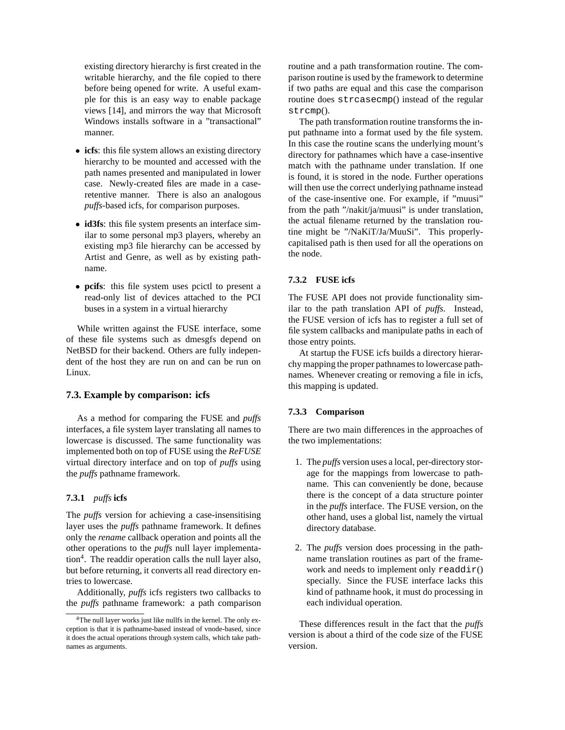existing directory hierarchy is first created in the writable hierarchy, and the file copied to there before being opened for write. A useful example for this is an easy way to enable package views [14], and mirrors the way that Microsoft Windows installs software in a "transactional" manner.

- **icfs**: this file system allows an existing directory hierarchy to be mounted and accessed with the path names presented and manipulated in lower case. Newly-created files are made in a caseretentive manner. There is also an analogous *puffs*-based icfs, for comparison purposes.
- **id3fs**: this file system presents an interface similar to some personal mp3 players, whereby an existing mp3 file hierarchy can be accessed by Artist and Genre, as well as by existing pathname.
- **pcifs**: this file system uses pcictl to present a read-only list of devices attached to the PCI buses in a system in a virtual hierarchy

While written against the FUSE interface, some of these file systems such as dmesgfs depend on NetBSD for their backend. Others are fully independent of the host they are run on and can be run on Linux.

# **7.3. Example by comparison: icfs**

As a method for comparing the FUSE and *puffs* interfaces, a file system layer translating all names to lowercase is discussed. The same functionality was implemented both on top of FUSE using the *ReFUSE* virtual directory interface and on top of *puffs* using the *puffs* pathname framework.

#### **7.3.1** *puffs* **icfs**

The *puffs* version for achieving a case-insensitising layer uses the *puffs* pathname framework. It defines only the *rename* callback operation and points all the other operations to the *puffs* null layer implementation<sup>4</sup>. The readdir operation calls the null layer also, but before returning, it converts all read directory entries to lowercase.

Additionally, *puffs* icfs registers two callbacks to the *puffs* pathname framework: a path comparison routine and a path transformation routine. The comparison routine is used by the framework to determine if two paths are equal and this case the comparison routine does strcasecmp() instead of the regular strcmp().

The path transformation routine transforms the input pathname into a format used by the file system. In this case the routine scans the underlying mount's directory for pathnames which have a case-insentive match with the pathname under translation. If one is found, it is stored in the node. Further operations will then use the correct underlying pathname instead of the case-insentive one. For example, if "muusi" from the path "/nakit/ja/muusi" is under translation, the actual filename returned by the translation routine might be "/NaKiT/Ja/MuuSi". This properlycapitalised path is then used for all the operations on the node.

#### **7.3.2 FUSE icfs**

The FUSE API does not provide functionality similar to the path translation API of *puffs*. Instead, the FUSE version of icfs has to register a full set of file system callbacks and manipulate paths in each of those entry points.

At startup the FUSE icfs builds a directory hierarchy mapping the proper pathnames to lowercase pathnames. Whenever creating or removing a file in icfs, this mapping is updated.

#### **7.3.3 Comparison**

There are two main differences in the approaches of the two implementations:

- 1. The *puffs* version uses a local, per-directory storage for the mappings from lowercase to pathname. This can conveniently be done, because there is the concept of a data structure pointer in the *puffs* interface. The FUSE version, on the other hand, uses a global list, namely the virtual directory database.
- 2. The *puffs* version does processing in the pathname translation routines as part of the framework and needs to implement only  $readdir()$ specially. Since the FUSE interface lacks this kind of pathname hook, it must do processing in each individual operation.

These differences result in the fact that the *puffs* version is about a third of the code size of the FUSE version.

<sup>4</sup>The null layer works just like nullfs in the kernel. The only exception is that it is pathname-based instead of vnode-based, since it does the actual operations through system calls, which take pathnames as arguments.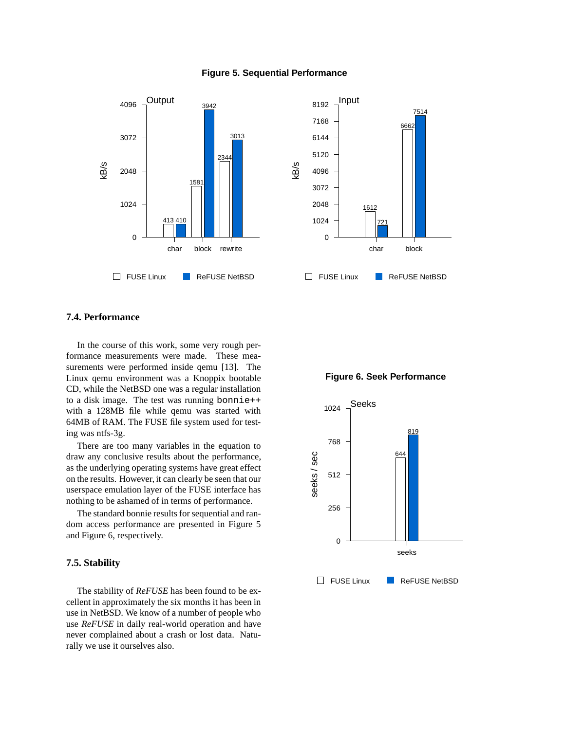#### **Figure 5. Sequential Performance**



### **7.4. Performance**

In the course of this work, some very rough performance measurements were made. These measurements were performed inside qemu [13]. The Linux qemu environment was a Knoppix bootable CD, while the NetBSD one was a regular installation to a disk image. The test was running bonnie++ with a 128MB file while qemu was started with 64MB of RAM. The FUSE file system used for testing was ntfs-3g.

There are too many variables in the equation to draw any conclusive results about the performance, as the underlying operating systems have great effect on the results. However, it can clearly be seen that our userspace emulation layer of the FUSE interface has nothing to be ashamed of in terms of performance.

The standard bonnie results for sequential and random access performance are presented in Figure 5 and Figure 6, respectively.

### **7.5. Stability**

The stability of *ReFUSE* has been found to be excellent in approximately the six months it has been in use in NetBSD. We know of a number of people who use *ReFUSE* in daily real-world operation and have never complained about a crash or lost data. Naturally we use it ourselves also.



#### **Figure 6. Seek Performance**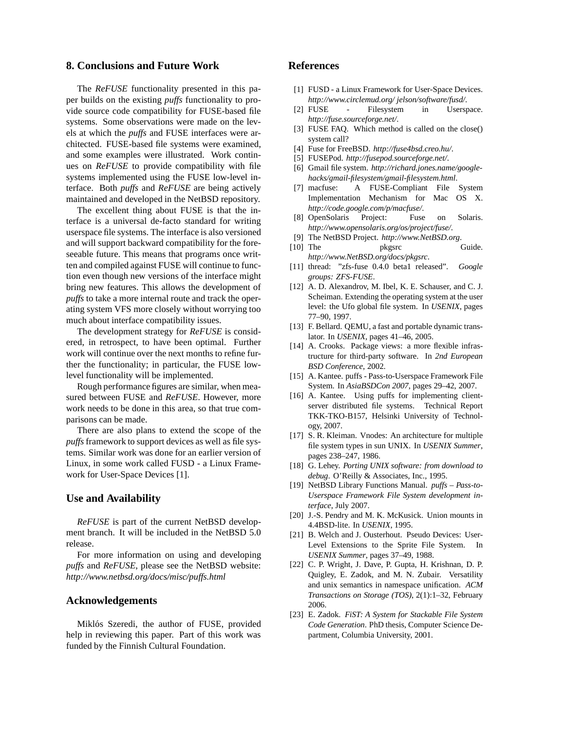# **8. Conclusions and Future Work**

The *ReFUSE* functionality presented in this paper builds on the existing *puffs* functionality to provide source code compatibility for FUSE-based file systems. Some observations were made on the levels at which the *puffs* and FUSE interfaces were architected. FUSE-based file systems were examined, and some examples were illustrated. Work continues on *ReFUSE* to provide compatibility with file systems implemented using the FUSE low-level interface. Both *puffs* and *ReFUSE* are being actively maintained and developed in the NetBSD repository.

The excellent thing about FUSE is that the interface is a universal de-facto standard for writing userspace file systems. The interface is also versioned and will support backward compatibility for the foreseeable future. This means that programs once written and compiled against FUSE will continue to function even though new versions of the interface might bring new features. This allows the development of *puffs* to take a more internal route and track the operating system VFS more closely without worrying too much about interface compatibility issues.

The development strategy for *ReFUSE* is considered, in retrospect, to have been optimal. Further work will continue over the next months to refine further the functionality; in particular, the FUSE lowlevel functionality will be implemented.

Rough performance figures are similar, when measured between FUSE and *ReFUSE*. However, more work needs to be done in this area, so that true comparisons can be made.

There are also plans to extend the scope of the *puffs*framework to support devices as well as file systems. Similar work was done for an earlier version of Linux, in some work called FUSD - a Linux Framework for User-Space Devices [1].

### **Use and Availability**

*ReFUSE* is part of the current NetBSD development branch. It will be included in the NetBSD 5.0 release.

For more information on using and developing *puffs* and *ReFUSE*, please see the NetBSD website: *http://www.netbsd.org/docs/misc/puffs.html*

# **Acknowledgements**

Miklós Szeredi, the author of FUSE, provided help in reviewing this paper. Part of this work was funded by the Finnish Cultural Foundation.

# **References**

- [1] FUSD a Linux Framework for User-Space Devices. *http://www.circlemud.org/ jelson/software/fusd/*.
- [2] FUSE Filesystem in Userspace. *http://fuse.sourceforge.net/*.
- [3] FUSE FAQ. Which method is called on the close() system call?
- [4] Fuse for FreeBSD. *http://fuse4bsd.creo.hu/*.
- [5] FUSEPod. *http://fusepod.sourceforge.net/*.
- [6] Gmail file system. *http://richard.jones.name/googlehacks/gmail-filesystem/gmail-filesystem.html*.
- [7] macfuse: A FUSE-Compliant File System Implementation Mechanism for Mac OS X. *http://code.google.com/p/macfuse/*.
- [8] OpenSolaris Project: Fuse on Solaris. *http://www.opensolaris.org/os/project/fuse/*.
- [9] The NetBSD Project. *http://www.NetBSD.org*.
- [10] The pkgsrc Guide. *http://www.NetBSD.org/docs/pkgsrc*.
- [11] thread: "zfs-fuse 0.4.0 beta1 released". *Google groups: ZFS-FUSE*.
- [12] A. D. Alexandrov, M. Ibel, K. E. Schauser, and C. J. Scheiman. Extending the operating system at the user level: the Ufo global file system. In *USENIX*, pages 77–90, 1997.
- [13] F. Bellard. QEMU, a fast and portable dynamic translator. In *USENIX*, pages 41–46, 2005.
- [14] A. Crooks. Package views: a more flexible infrastructure for third-party software. In *2nd European BSD Conference*, 2002.
- [15] A. Kantee. puffs Pass-to-Userspace Framework File System. In *AsiaBSDCon 2007*, pages 29–42, 2007.
- [16] A. Kantee. Using puffs for implementing clientserver distributed file systems. Technical Report TKK-TKO-B157, Helsinki University of Technology, 2007.
- [17] S. R. Kleiman. Vnodes: An architecture for multiple file system types in sun UNIX. In *USENIX Summer*, pages 238–247, 1986.
- [18] G. Lehey. *Porting UNIX software: from download to debug*. O'Reilly & Associates, Inc., 1995.
- [19] NetBSD Library Functions Manual. *puffs Pass-to-Userspace Framework File System development interface*, July 2007.
- [20] J.-S. Pendry and M. K. McKusick. Union mounts in 4.4BSD-lite. In *USENIX*, 1995.
- [21] B. Welch and J. Ousterhout. Pseudo Devices: User-Level Extensions to the Sprite File System. In *USENIX Summer*, pages 37–49, 1988.
- [22] C. P. Wright, J. Dave, P. Gupta, H. Krishnan, D. P. Quigley, E. Zadok, and M. N. Zubair. Versatility and unix semantics in namespace unification. *ACM Transactions on Storage (TOS)*, 2(1):1–32, February 2006.
- [23] E. Zadok. *FiST: A System for Stackable File System Code Generation*. PhD thesis, Computer Science Department, Columbia University, 2001.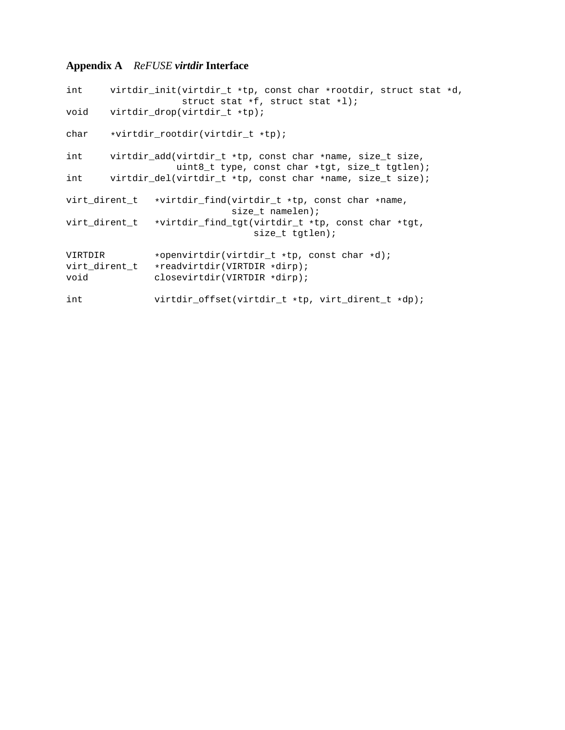# **Appendix A** *ReFUSE virtdir* **Interface**

```
int virtdir_init(virtdir_t *tp, const char *rootdir, struct stat *d,
                     struct stat *f, struct stat *l);
void virtdir_drop(virtdir_t *tp);
char *virtdir_rootdir(virtdir_t *tp);
int virtdir_add(virtdir_t *tp, const char *name, size_t size,
                   uint8_t type, const char *tgt, size_t tgtlen);
int virtdir_del(virtdir_t *tp, const char *name, size_t size);
virt_dirent_t *virtdir_find(virtdir_t *tp, const char *name,
                             size_t namelen);
virt_dirent_t *virtdir_find_tgt(virtdir_t *tp, const char *tgt,
                                 size_t tgtlen);
VIRTDIR *openvirtdir(virtdir_t *tp, const char *d);
virt_dirent_t *readvirtdir(VIRTDIR *dirp);<br>void closevirtdir(VIRTDIR *dirp);
               closevirtdir(VIRTDIR *dirp);
int virtdir_offset(virtdir_t *tp, virt_dirent_t *dp);
```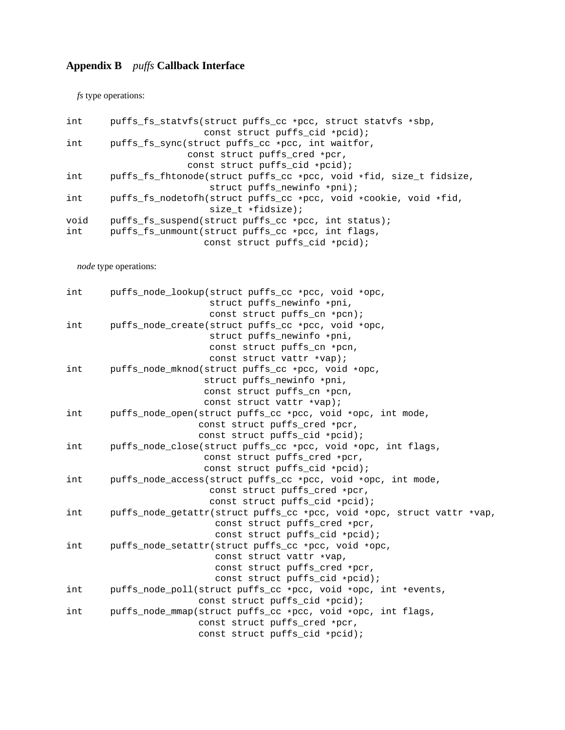# **Appendix B** *puffs* **Callback Interface**

*fs* type operations:

| int  | puffs_fs_statvfs(struct puffs_cc *pcc, struct statvfs *sbp,        |
|------|--------------------------------------------------------------------|
|      | const struct puffs_cid *pcid);                                     |
| int  | puffs fs sync(struct puffs cc *pcc, int waitfor,                   |
|      | const struct puffs cred *pcr,                                      |
|      | const struct puffs_cid *pcid);                                     |
| int  | puffs_fs_fhtonode(struct puffs_cc *pcc, void *fid, size_t fidsize, |
|      | struct puffs_newinfo *pni);                                        |
| int  | puffs_fs_nodetofh(struct puffs_cc *pcc, void *cookie, void *fid,   |
|      | size $t * fidsize$ ;                                               |
| void | puffs fs suspend(struct puffs cc *pcc, int status);                |
| int  | puffs_fs_unmount(struct puffs_cc *pcc, int flags,                  |
|      | const struct puffs_cid *pcid);                                     |
|      |                                                                    |

*node* type operations:

| int | puffs_node_lookup(struct puffs_cc *pcc, void *opc,                     |
|-----|------------------------------------------------------------------------|
|     | struct puffs_newinfo *pni,                                             |
|     | const struct puffs_cn *pcn);                                           |
| int | puffs_node_create(struct puffs_cc *pcc, void *opc,                     |
|     | struct puffs_newinfo *pni,                                             |
|     | const struct puffs_cn *pcn,                                            |
|     | const struct vattr *vap);                                              |
| int | puffs_node_mknod(struct puffs_cc *pcc, void *opc,                      |
|     | struct puffs_newinfo *pni,                                             |
|     | const struct puffs_cn *pcn,                                            |
|     | const struct vattr *vap);                                              |
| int | puffs_node_open(struct puffs_cc *pcc, void *opc, int mode,             |
|     | const struct puffs_cred *pcr,                                          |
|     | const struct puffs_cid *pcid);                                         |
| int | puffs_node_close(struct puffs_cc *pcc, void *opc, int flags,           |
|     | const struct puffs_cred *pcr,                                          |
|     | const struct puffs_cid *pcid);                                         |
| int | puffs_node_access(struct puffs_cc *pcc, void *opc, int mode,           |
|     | const struct puffs_cred *pcr,                                          |
|     | const struct puffs_cid *pcid);                                         |
| int | puffs_node_getattr(struct puffs_cc *pcc, void *opc, struct vattr *vap, |
|     | const struct puffs cred *pcr,                                          |
|     | const struct puffs_cid *pcid);                                         |
| int | puffs_node_setattr(struct puffs_cc *pcc, void *opc,                    |
|     | const struct vattr *vap,                                               |
|     | const struct puffs_cred *pcr,                                          |
|     | const struct puffs_cid *pcid);                                         |
| int | puffs_node_poll(struct puffs_cc *pcc, void *opc, int *events,          |
|     | const struct puffs_cid *pcid);                                         |
| int | puffs_node_mmap(struct puffs_cc *pcc, void *opc, int flags,            |
|     | const struct puffs_cred *pcr,                                          |
|     | const struct puffs_cid *pcid);                                         |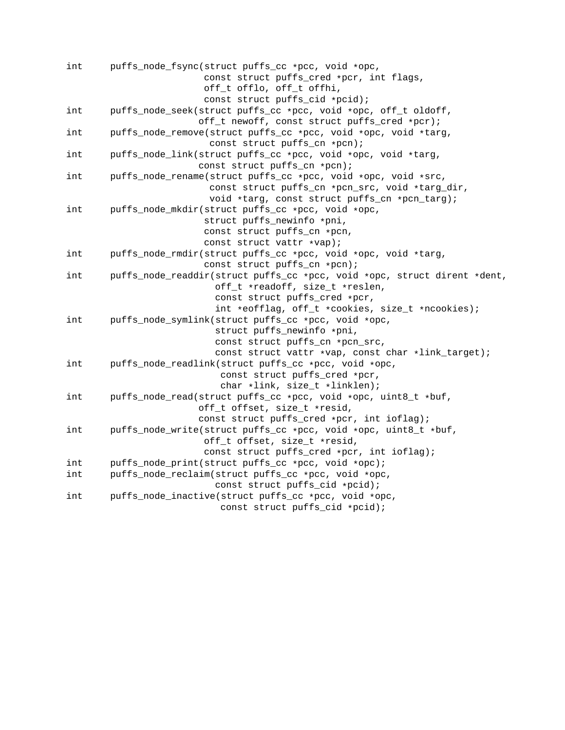| int | puffs_node_fsync(struct puffs_cc *pcc, void *opc,                        |
|-----|--------------------------------------------------------------------------|
|     | const struct puffs_cred *pcr, int flags,                                 |
|     | off_t offlo, off_t offhi,                                                |
|     | const struct puffs_cid *pcid);                                           |
| int | puffs_node_seek(struct puffs_cc *pcc, void *opc, off_t oldoff,           |
|     | off_t newoff, const struct puffs_cred *pcr);                             |
| int | puffs_node_remove(struct puffs_cc *pcc, void *opc, void *targ,           |
|     | const struct puffs_cn *pcn);                                             |
| int | puffs_node_link(struct puffs_cc *pcc, void *opc, void *targ,             |
|     | const struct puffs_cn *pcn);                                             |
| int | puffs_node_rename(struct puffs_cc *pcc, void *opc, void *src,            |
|     | const struct puffs_cn *pcn_src, void *targ_dir,                          |
|     | void *targ, const struct puffs_cn *pcn_targ);                            |
| int | puffs_node_mkdir(struct puffs_cc *pcc, void *opc,                        |
|     | struct puffs_newinfo *pni,                                               |
|     | const struct puffs_cn *pcn,                                              |
|     | const struct vattr *vap);                                                |
| int | puffs_node_rmdir(struct puffs_cc *pcc, void *opc, void *targ,            |
|     | const struct puffs_cn *pcn);                                             |
| int | puffs_node_readdir(struct puffs_cc *pcc, void *opc, struct dirent *dent, |
|     | off_t *readoff, size_t *reslen,                                          |
|     | const struct puffs_cred *pcr,                                            |
|     | int *eofflag, off_t *cookies, size_t *ncookies);                         |
| int | puffs_node_symlink(struct puffs_cc *pcc, void *opc,                      |
|     | struct puffs_newinfo *pni,                                               |
|     | const struct puffs_cn *pcn_src,                                          |
|     | const struct vattr *vap, const char *link_target);                       |
| int | puffs_node_readlink(struct puffs_cc *pcc, void *opc,                     |
|     | const struct puffs_cred *pcr,                                            |
|     | char *link, size_t *linklen);                                            |
| int | puffs_node_read(struct puffs_cc *pcc, void *opc, uint8_t *buf,           |
|     | off_t offset, size_t *resid,                                             |
|     | const struct puffs_cred *pcr, int ioflag);                               |
| int | puffs_node_write(struct puffs_cc *pcc, void *opc, uint8_t *buf,          |
|     | off_t offset, size_t *resid,                                             |
|     | const struct puffs_cred *pcr, int ioflag);                               |
| int | puffs_node_print(struct puffs_cc *pcc, void *opc);                       |
| int | puffs_node_reclaim(struct puffs_cc *pcc, void *opc,                      |
|     | const struct puffs_cid *pcid);                                           |
| int | puffs_node_inactive(struct puffs_cc *pcc, void *opc,                     |
|     | const struct puffs_cid *pcid);                                           |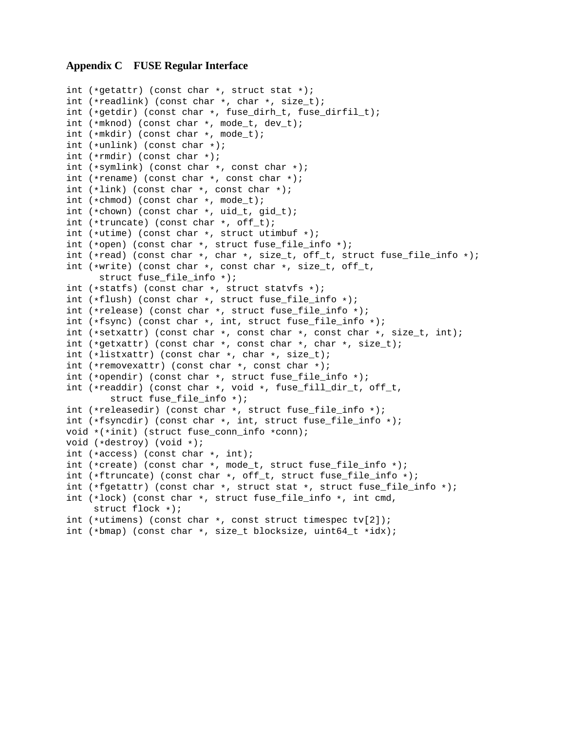# **Appendix C FUSE Regular Interface**

```
int (*getattr) (const char *, struct stat *);
int (*readlink) (const char *, char *, size_t);
int (*getdir) (const char *, fuse_dirh_t, fuse_dirfil_t);
int (*mknod) (const char *, mode_t, dev_t);
int (*mkdir) (const char *, mode_t);
int (*unlink) (const char *);
int (*rmdir) (const char *);
int (*symlink) (const char *, const char *);
int (*rename) (const char *, const char *);
int (*link) (const char *, const char *);
int (*chmod) (const char *, mode_t);
int (*chown) (const char *, uid_t, gid_t);
int (*truncate) (const char *, off_t);
int (*utime) (const char *, struct utimbuf *);
int (*open) (const char *, struct fuse_file_info *);
int (*read) (const char *, char *, size_t, off_t, struct fuse_file_info *);
int (*write) (const char *, const char *, size_t, off_t,
      struct fuse_file_info *);
int (*statfs) (const char *, struct statvfs *);
int (*flush) (const char *, struct fuse_file_info *);
int (*release) (const char *, struct fuse_file_info *);
int (*fsync) (const char *, int, struct fuse_file_info *);
int (*setxattr) (const char *, const char *, const char *, size_t, int);
int (*getxattr) (const char *, const char *, char *, size_t);
int (*listxattr) (const char *, char *, size_t);
int (*removexattr) (const char *, const char *);
int (*opendir) (const char *, struct fuse file info *);
int (*readdir) (const char *, void *, fuse_fill_dir_t, off_t,
        struct fuse_file_info *);
int (*releasedir) (const char *, struct fuse_file_info *);
int (*fsyncdir) (const char *, int, struct fuse_file_info *);
void *(*init) (struct fuse conn info *conn);
void (*destroy) (void *);
int (*access) (const char *, int);
int (*create) (const char *, mode_t, struct fuse_file_info *);
int (*ftruncate) (const char *, off_t, struct fuse_file_info *);
int (*fgetattr) (const char *, struct stat *, struct fuse_file_info *);
int (*lock) (const char *, struct fuse_file_info *, int cmd,
     struct flock *);
int (*utimens) (const char *, const struct timespec tv[2]);
int (*bmap) (const char *, size_t blocksize, uint64_t *idx);
```